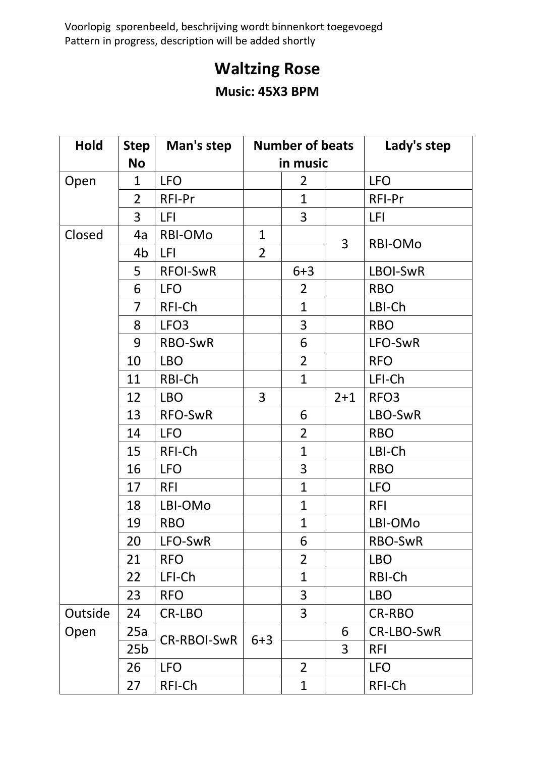Voorlopig sporenbeeld, beschrijving wordt binnenkort toegevoegd Pattern in progress, description will be added shortly

## **Waltzing Rose**

## **Music: 45X3 BPM**

| <b>Hold</b> | <b>Step</b>     | Man's step         | <b>Number of beats</b> |                |         | Lady's step      |
|-------------|-----------------|--------------------|------------------------|----------------|---------|------------------|
|             | <b>No</b>       |                    | in music               |                |         |                  |
| Open        | $\mathbf 1$     | <b>LFO</b>         |                        | $\overline{2}$ |         | <b>LFO</b>       |
|             | $\overline{2}$  | RFI-Pr             |                        | $\mathbf{1}$   |         | RFI-Pr           |
|             | $\overline{3}$  | LFI                |                        | 3              |         | LFI              |
| Closed      | 4a              | RBI-OMo            | $\mathbf{1}$           |                | 3       | RBI-OMo          |
|             | 4b              | <b>LFI</b>         | $\overline{2}$         |                |         |                  |
|             | 5               | <b>RFOI-SWR</b>    |                        | $6 + 3$        |         | LBOI-SwR         |
|             | 6               | <b>LFO</b>         |                        | $\overline{2}$ |         | <b>RBO</b>       |
|             | $\overline{7}$  | RFI-Ch             |                        | $\mathbf{1}$   |         | LBI-Ch           |
|             | 8               | LFO <sub>3</sub>   |                        | 3              |         | <b>RBO</b>       |
|             | 9               | RBO-SwR            |                        | 6              |         | LFO-SwR          |
|             | 10              | <b>LBO</b>         |                        | $\overline{2}$ |         | <b>RFO</b>       |
|             | 11              | RBI-Ch             |                        | $\overline{1}$ |         | LFI-Ch           |
|             | 12              | <b>LBO</b>         | $\overline{3}$         |                | $2 + 1$ | RFO <sub>3</sub> |
|             | 13              | <b>RFO-SwR</b>     |                        | 6              |         | LBO-SwR          |
|             | 14              | <b>LFO</b>         |                        | $\overline{2}$ |         | <b>RBO</b>       |
|             | 15              | RFI-Ch             |                        | $\overline{1}$ |         | LBI-Ch           |
|             | 16              | <b>LFO</b>         |                        | 3              |         | <b>RBO</b>       |
|             | 17              | <b>RFI</b>         |                        | $\mathbf{1}$   |         | <b>LFO</b>       |
|             | 18              | LBI-OMo            |                        | $\mathbf{1}$   |         | <b>RFI</b>       |
|             | 19              | <b>RBO</b>         |                        | $\overline{1}$ |         | LBI-OMo          |
|             | 20              | LFO-SwR            |                        | 6              |         | RBO-SwR          |
|             | 21              | <b>RFO</b>         |                        | $\overline{2}$ |         | <b>LBO</b>       |
|             | 22              | LFI-Ch             |                        | 1              |         | RBI-Ch           |
|             | 23              | <b>RFO</b>         |                        | 3              |         | <b>LBO</b>       |
| Outside     | 24              | CR-LBO             |                        | $\overline{3}$ |         | <b>CR-RBO</b>    |
| Open        | 25a             | <b>CR-RBOI-SwR</b> | $6 + 3$                |                | 6       | CR-LBO-SwR       |
|             | 25 <sub>b</sub> |                    |                        |                | 3       | <b>RFI</b>       |
|             | 26              | <b>LFO</b>         |                        | $\overline{2}$ |         | <b>LFO</b>       |
|             | 27              | RFI-Ch             |                        | $\mathbf 1$    |         | RFI-Ch           |